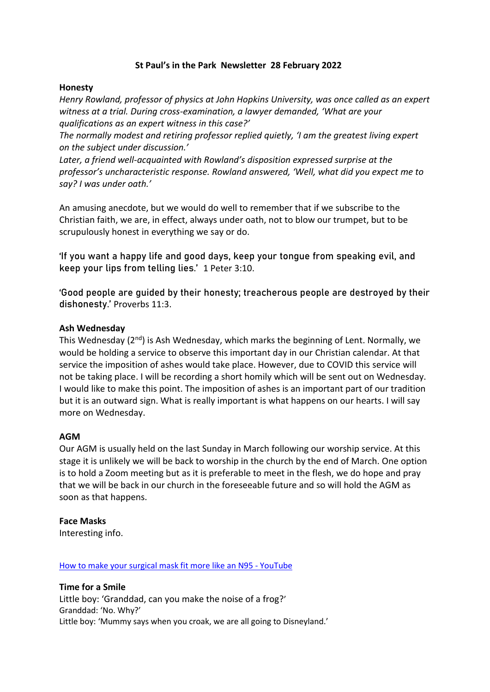# **St Paul's in the Park Newsletter 28 February 2022**

### **Honesty**

*Henry Rowland, professor of physics at John Hopkins University, was once called as an expert witness at a trial. During cross-examination, a lawyer demanded, 'What are your qualifications as an expert witness in this case?'*

*The normally modest and retiring professor replied quietly, 'I am the greatest living expert on the subject under discussion.'*

*Later, a friend well-acquainted with Rowland's disposition expressed surprise at the professor's uncharacteristic response. Rowland answered, 'Well, what did you expect me to say? I was under oath.'*

An amusing anecdote, but we would do well to remember that if we subscribe to the Christian faith, we are, in effect, always under oath, not to blow our trumpet, but to be scrupulously honest in everything we say or do.

'If you want a happy life and good days, keep your tongue from speaking evil, and keep your lips from telling lies.' 1 Peter 3:10.

'Good people are guided by their honesty; treacherous people are destroyed by their dishonesty.' Proverbs 11:3.

### **Ash Wednesday**

This Wednesday (2nd) is Ash Wednesday, which marks the beginning of Lent. Normally, we would be holding a service to observe this important day in our Christian calendar. At that service the imposition of ashes would take place. However, due to COVID this service will not be taking place. I will be recording a short homily which will be sent out on Wednesday. I would like to make this point. The imposition of ashes is an important part of our tradition but it is an outward sign. What is really important is what happens on our hearts. I will say more on Wednesday.

### **AGM**

Our AGM is usually held on the last Sunday in March following our worship service. At this stage it is unlikely we will be back to worship in the church by the end of March. One option is to hold a Zoom meeting but as it is preferable to meet in the flesh, we do hope and pray that we will be back in our church in the foreseeable future and so will hold the AGM as soon as that happens.

### **Face Masks**

Interesting info.

#### [How to make your surgical mask fit more like an N95 -](https://www.youtube.com/watch?v=lNffqOY5Yss) YouTube

**Time for a Smile** Little boy: 'Granddad, can you make the noise of a frog?' Granddad: 'No. Why?' Little boy: 'Mummy says when you croak, we are all going to Disneyland.'